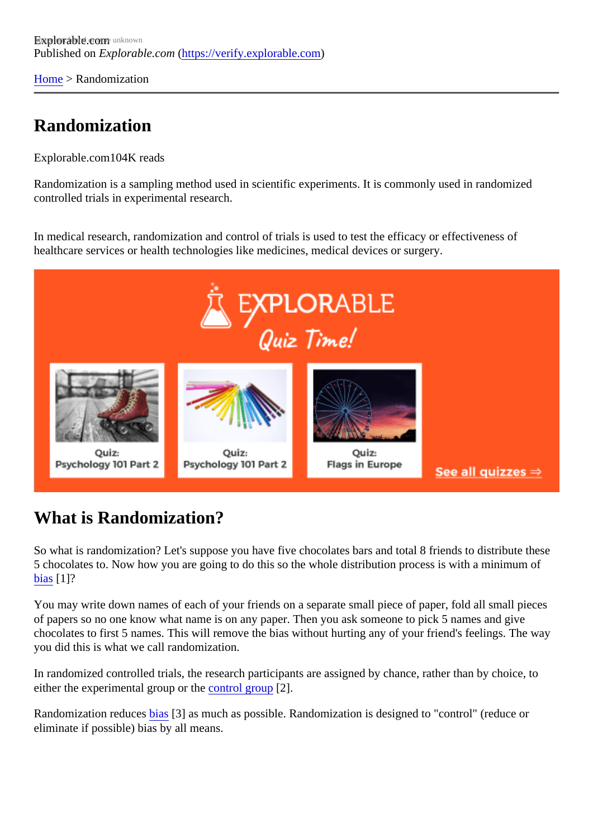[Home](https://verify.explorable.com/) > Randomization

## Randomization

Explorable.com 04K reads

Randomization is a sampling method used in scientific experiments. It is commonly used in randomized controlled trials in experimental research.

In medical research, randomization and control of trials is used to test the efficacy or effectiveness of healthcare services or health technologies like medicines, medical devices or surgery.

## What is Randomization?

So what is randomization? Let's suppose you have five chocolates bars and total 8 friends to distribute the 5 chocolates to. Now how you are going to do this so the whole distribution process is with a minimum of [bias](https://verify.explorable.com/sampling-error)[1]?

You may write down names of each of your friends on a separate small piece of paper, fold all small piece of papers so no one know what name is on any paper. Then you ask someone to pick 5 names and give chocolates to first 5 names. This will remove the bias without hurting any of your friend's feelings. The way you did this is what we call randomization.

In randomized controlled trials, the research participants are assigned by chance, rather than by choice, to either the experimental group or the  $r$  and  $r$  group  $[2]$ .

Randomization reducesias<sup>[3]</sup> as much as possible. Randomization is designed to "control" (reduce or eliminate if possible) bias by all means.